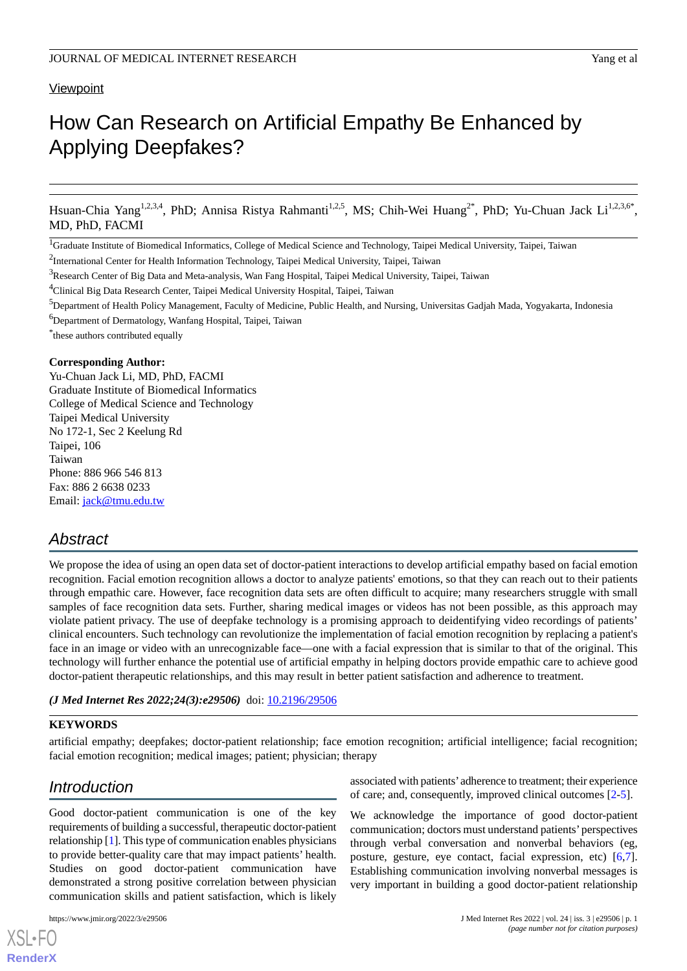# **Viewpoint**

# How Can Research on Artificial Empathy Be Enhanced by Applying Deepfakes?

Hsuan-Chia Yang<sup>1,2,3,4</sup>, PhD; Annisa Ristya Rahmanti<sup>1,2,5</sup>, MS; Chih-Wei Huang<sup>2\*</sup>, PhD; Yu-Chuan Jack Li<sup>1,2,3,6\*</sup>, MD, PhD, FACMI

<sup>1</sup>Graduate Institute of Biomedical Informatics, College of Medical Science and Technology, Taipei Medical University, Taipei, Taiwan

<sup>2</sup>International Center for Health Information Technology, Taipei Medical University, Taipei, Taiwan

<sup>3</sup>Research Center of Big Data and Meta-analysis, Wan Fang Hospital, Taipei Medical University, Taipei, Taiwan

<sup>4</sup>Clinical Big Data Research Center, Taipei Medical University Hospital, Taipei, Taiwan

<sup>5</sup>Department of Health Policy Management, Faculty of Medicine, Public Health, and Nursing, Universitas Gadjah Mada, Yogyakarta, Indonesia

<sup>6</sup>Department of Dermatology, Wanfang Hospital, Taipei, Taiwan

\* these authors contributed equally

# **Corresponding Author:**

Yu-Chuan Jack Li, MD, PhD, FACMI Graduate Institute of Biomedical Informatics College of Medical Science and Technology Taipei Medical University No 172-1, Sec 2 Keelung Rd Taipei, 106 Taiwan Phone: 886 966 546 813 Fax: 886 2 6638 0233 Email: [jack@tmu.edu.tw](mailto:jack@tmu.edu.tw)

# *Abstract*

We propose the idea of using an open data set of doctor-patient interactions to develop artificial empathy based on facial emotion recognition. Facial emotion recognition allows a doctor to analyze patients' emotions, so that they can reach out to their patients through empathic care. However, face recognition data sets are often difficult to acquire; many researchers struggle with small samples of face recognition data sets. Further, sharing medical images or videos has not been possible, as this approach may violate patient privacy. The use of deepfake technology is a promising approach to deidentifying video recordings of patients' clinical encounters. Such technology can revolutionize the implementation of facial emotion recognition by replacing a patient's face in an image or video with an unrecognizable face—one with a facial expression that is similar to that of the original. This technology will further enhance the potential use of artificial empathy in helping doctors provide empathic care to achieve good doctor-patient therapeutic relationships, and this may result in better patient satisfaction and adherence to treatment.

### *(J Med Internet Res 2022;24(3):e29506)* doi:  $10.2196/29506$

## **KEYWORDS**

artificial empathy; deepfakes; doctor-patient relationship; face emotion recognition; artificial intelligence; facial recognition; facial emotion recognition; medical images; patient; physician; therapy

# *Introduction*

Good doctor-patient communication is one of the key requirements of building a successful, therapeutic doctor-patient relationship [\[1](#page-5-0)]. This type of communication enables physicians to provide better-quality care that may impact patients' health. Studies on good doctor-patient communication have demonstrated a strong positive correlation between physician communication skills and patient satisfaction, which is likely

[XSL](http://www.w3.org/Style/XSL)•FO **[RenderX](http://www.renderx.com/)**

associated with patients'adherence to treatment; their experience of care; and, consequently, improved clinical outcomes [[2-](#page-5-1)[5\]](#page-5-2).

We acknowledge the importance of good doctor-patient communication; doctors must understand patients'perspectives through verbal conversation and nonverbal behaviors (eg, posture, gesture, eye contact, facial expression, etc) [\[6](#page-5-3),[7\]](#page-5-4). Establishing communication involving nonverbal messages is very important in building a good doctor-patient relationship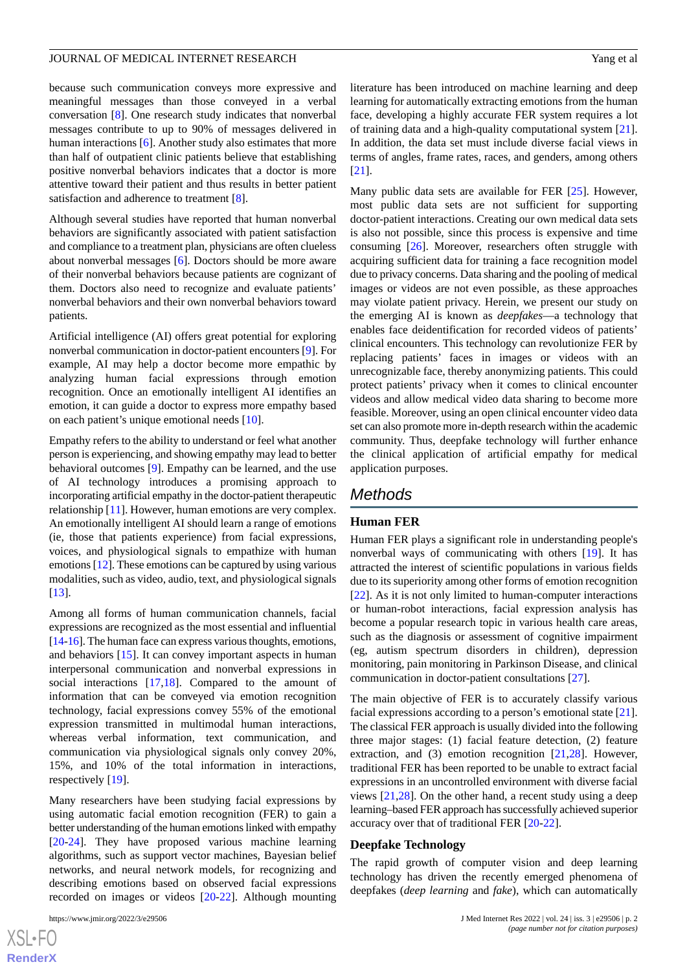because such communication conveys more expressive and meaningful messages than those conveyed in a verbal conversation [[8\]](#page-5-5). One research study indicates that nonverbal messages contribute to up to 90% of messages delivered in human interactions [\[6](#page-5-3)]. Another study also estimates that more than half of outpatient clinic patients believe that establishing positive nonverbal behaviors indicates that a doctor is more attentive toward their patient and thus results in better patient satisfaction and adherence to treatment [\[8](#page-5-5)].

Although several studies have reported that human nonverbal behaviors are significantly associated with patient satisfaction and compliance to a treatment plan, physicians are often clueless about nonverbal messages [\[6](#page-5-3)]. Doctors should be more aware of their nonverbal behaviors because patients are cognizant of them. Doctors also need to recognize and evaluate patients' nonverbal behaviors and their own nonverbal behaviors toward patients.

Artificial intelligence (AI) offers great potential for exploring nonverbal communication in doctor-patient encounters [[9\]](#page-5-6). For example, AI may help a doctor become more empathic by analyzing human facial expressions through emotion recognition. Once an emotionally intelligent AI identifies an emotion, it can guide a doctor to express more empathy based on each patient's unique emotional needs [\[10](#page-5-7)].

Empathy refers to the ability to understand or feel what another person is experiencing, and showing empathy may lead to better behavioral outcomes [\[9](#page-5-6)]. Empathy can be learned, and the use of AI technology introduces a promising approach to incorporating artificial empathy in the doctor-patient therapeutic relationship [\[11](#page-5-8)]. However, human emotions are very complex. An emotionally intelligent AI should learn a range of emotions (ie, those that patients experience) from facial expressions, voices, and physiological signals to empathize with human emotions [[12\]](#page-5-9). These emotions can be captured by using various modalities, such as video, audio, text, and physiological signals [[13\]](#page-5-10).

Among all forms of human communication channels, facial expressions are recognized as the most essential and influential [[14-](#page-6-0)[16](#page-6-1)]. The human face can express various thoughts, emotions, and behaviors [[15\]](#page-6-2). It can convey important aspects in human interpersonal communication and nonverbal expressions in social interactions [\[17](#page-6-3),[18\]](#page-6-4). Compared to the amount of information that can be conveyed via emotion recognition technology, facial expressions convey 55% of the emotional expression transmitted in multimodal human interactions, whereas verbal information, text communication, and communication via physiological signals only convey 20%, 15%, and 10% of the total information in interactions, respectively [\[19](#page-6-5)].

Many researchers have been studying facial expressions by using automatic facial emotion recognition (FER) to gain a better understanding of the human emotions linked with empathy [[20](#page-6-6)[-24](#page-6-7)]. They have proposed various machine learning algorithms, such as support vector machines, Bayesian belief networks, and neural network models, for recognizing and describing emotions based on observed facial expressions recorded on images or videos [[20](#page-6-6)[-22](#page-6-8)]. Although mounting

literature has been introduced on machine learning and deep learning for automatically extracting emotions from the human face, developing a highly accurate FER system requires a lot of training data and a high-quality computational system [[21\]](#page-6-9). In addition, the data set must include diverse facial views in terms of angles, frame rates, races, and genders, among others [[21\]](#page-6-9).

Many public data sets are available for FER [\[25](#page-6-10)]. However, most public data sets are not sufficient for supporting doctor-patient interactions. Creating our own medical data sets is also not possible, since this process is expensive and time consuming [[26\]](#page-6-11). Moreover, researchers often struggle with acquiring sufficient data for training a face recognition model due to privacy concerns. Data sharing and the pooling of medical images or videos are not even possible, as these approaches may violate patient privacy. Herein, we present our study on the emerging AI is known as *deepfakes*—a technology that enables face deidentification for recorded videos of patients' clinical encounters. This technology can revolutionize FER by replacing patients' faces in images or videos with an unrecognizable face, thereby anonymizing patients. This could protect patients' privacy when it comes to clinical encounter videos and allow medical video data sharing to become more feasible. Moreover, using an open clinical encounter video data set can also promote more in-depth research within the academic community. Thus, deepfake technology will further enhance the clinical application of artificial empathy for medical application purposes.

# *Methods*

# **Human FER**

Human FER plays a significant role in understanding people's nonverbal ways of communicating with others [\[19](#page-6-5)]. It has attracted the interest of scientific populations in various fields due to its superiority among other forms of emotion recognition [[22\]](#page-6-8). As it is not only limited to human-computer interactions or human-robot interactions, facial expression analysis has become a popular research topic in various health care areas, such as the diagnosis or assessment of cognitive impairment (eg, autism spectrum disorders in children), depression monitoring, pain monitoring in Parkinson Disease, and clinical communication in doctor-patient consultations [[27\]](#page-6-12).

The main objective of FER is to accurately classify various facial expressions according to a person's emotional state [[21\]](#page-6-9). The classical FER approach is usually divided into the following three major stages: (1) facial feature detection, (2) feature extraction, and (3) emotion recognition [[21](#page-6-9)[,28](#page-6-13)]. However, traditional FER has been reported to be unable to extract facial expressions in an uncontrolled environment with diverse facial views [[21](#page-6-9)[,28](#page-6-13)]. On the other hand, a recent study using a deep learning–based FER approach has successfully achieved superior accuracy over that of traditional FER [[20-](#page-6-6)[22\]](#page-6-8).

### **Deepfake Technology**

The rapid growth of computer vision and deep learning technology has driven the recently emerged phenomena of deepfakes (*deep learning* and *fake*), which can automatically

```
XSL•FO
RenderX
```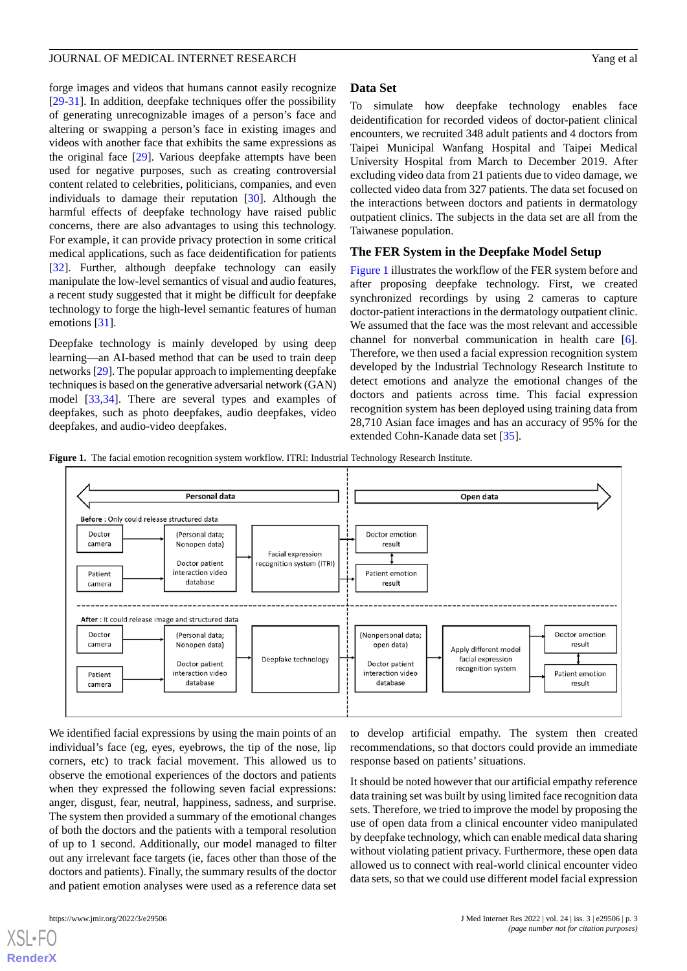forge images and videos that humans cannot easily recognize [[29](#page-6-14)[-31](#page-6-15)]. In addition, deepfake techniques offer the possibility of generating unrecognizable images of a person's face and altering or swapping a person's face in existing images and videos with another face that exhibits the same expressions as the original face [[29\]](#page-6-14). Various deepfake attempts have been used for negative purposes, such as creating controversial content related to celebrities, politicians, companies, and even individuals to damage their reputation [[30\]](#page-6-16). Although the harmful effects of deepfake technology have raised public concerns, there are also advantages to using this technology. For example, it can provide privacy protection in some critical medical applications, such as face deidentification for patients [[32\]](#page-6-17). Further, although deepfake technology can easily manipulate the low-level semantics of visual and audio features, a recent study suggested that it might be difficult for deepfake technology to forge the high-level semantic features of human emotions [\[31](#page-6-15)].

Deepfake technology is mainly developed by using deep learning—an AI-based method that can be used to train deep networks [\[29\]](#page-6-14). The popular approach to implementing deepfake techniques is based on the generative adversarial network (GAN) model [[33](#page-6-18)[,34](#page-6-19)]. There are several types and examples of deepfakes, such as photo deepfakes, audio deepfakes, video deepfakes, and audio-video deepfakes.

# **Data Set**

To simulate how deepfake technology enables face deidentification for recorded videos of doctor-patient clinical encounters, we recruited 348 adult patients and 4 doctors from Taipei Municipal Wanfang Hospital and Taipei Medical University Hospital from March to December 2019. After excluding video data from 21 patients due to video damage, we collected video data from 327 patients. The data set focused on the interactions between doctors and patients in dermatology outpatient clinics. The subjects in the data set are all from the Taiwanese population.

# **The FER System in the Deepfake Model Setup**

[Figure 1](#page-2-0) illustrates the workflow of the FER system before and after proposing deepfake technology. First, we created synchronized recordings by using 2 cameras to capture doctor-patient interactions in the dermatology outpatient clinic. We assumed that the face was the most relevant and accessible channel for nonverbal communication in health care [[6\]](#page-5-3). Therefore, we then used a facial expression recognition system developed by the Industrial Technology Research Institute to detect emotions and analyze the emotional changes of the doctors and patients across time. This facial expression recognition system has been deployed using training data from 28,710 Asian face images and has an accuracy of 95% for the extended Cohn-Kanade data set [\[35](#page-6-20)].

<span id="page-2-0"></span>**Figure 1.** The facial emotion recognition system workflow. ITRI: Industrial Technology Research Institute.



We identified facial expressions by using the main points of an individual's face (eg, eyes, eyebrows, the tip of the nose, lip corners, etc) to track facial movement. This allowed us to observe the emotional experiences of the doctors and patients when they expressed the following seven facial expressions: anger, disgust, fear, neutral, happiness, sadness, and surprise. The system then provided a summary of the emotional changes of both the doctors and the patients with a temporal resolution of up to 1 second. Additionally, our model managed to filter out any irrelevant face targets (ie, faces other than those of the doctors and patients). Finally, the summary results of the doctor and patient emotion analyses were used as a reference data set

to develop artificial empathy. The system then created recommendations, so that doctors could provide an immediate response based on patients' situations.

It should be noted however that our artificial empathy reference data training set was built by using limited face recognition data sets. Therefore, we tried to improve the model by proposing the use of open data from a clinical encounter video manipulated by deepfake technology, which can enable medical data sharing without violating patient privacy. Furthermore, these open data allowed us to connect with real-world clinical encounter video data sets, so that we could use different model facial expression

[XSL](http://www.w3.org/Style/XSL)•FO **[RenderX](http://www.renderx.com/)**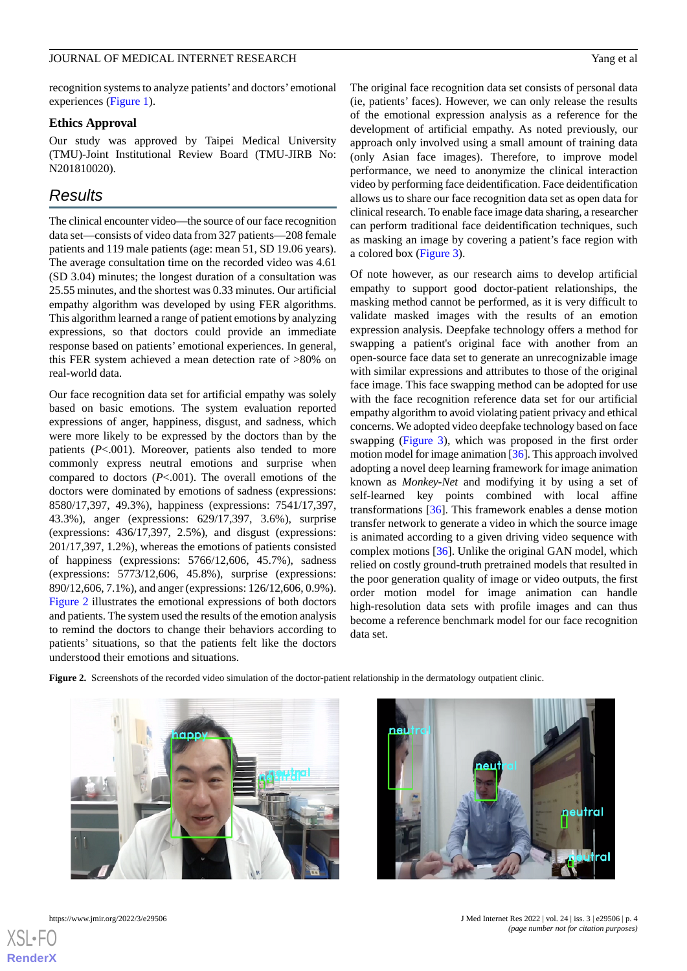recognition systems to analyze patients' and doctors' emotional experiences [\(Figure 1](#page-2-0)).

# **Ethics Approval**

Our study was approved by Taipei Medical University (TMU)-Joint Institutional Review Board (TMU-JIRB No: N201810020).

# *Results*

The clinical encounter video—the source of our face recognition data set—consists of video data from 327 patients—208 female patients and 119 male patients (age: mean 51, SD 19.06 years). The average consultation time on the recorded video was 4.61 (SD 3.04) minutes; the longest duration of a consultation was 25.55 minutes, and the shortest was 0.33 minutes. Our artificial empathy algorithm was developed by using FER algorithms. This algorithm learned a range of patient emotions by analyzing expressions, so that doctors could provide an immediate response based on patients' emotional experiences. In general, this FER system achieved a mean detection rate of >80% on real-world data.

Our face recognition data set for artificial empathy was solely based on basic emotions. The system evaluation reported expressions of anger, happiness, disgust, and sadness, which were more likely to be expressed by the doctors than by the patients (*P*<.001). Moreover, patients also tended to more commonly express neutral emotions and surprise when compared to doctors (*P*<.001). The overall emotions of the doctors were dominated by emotions of sadness (expressions: 8580/17,397, 49.3%), happiness (expressions: 7541/17,397, 43.3%), anger (expressions: 629/17,397, 3.6%), surprise (expressions: 436/17,397, 2.5%), and disgust (expressions: 201/17,397, 1.2%), whereas the emotions of patients consisted of happiness (expressions: 5766/12,606, 45.7%), sadness (expressions: 5773/12,606, 45.8%), surprise (expressions: 890/12,606, 7.1%), and anger (expressions: 126/12,606, 0.9%). [Figure 2](#page-3-0) illustrates the emotional expressions of both doctors and patients. The system used the results of the emotion analysis to remind the doctors to change their behaviors according to patients' situations, so that the patients felt like the doctors understood their emotions and situations.

The original face recognition data set consists of personal data (ie, patients' faces). However, we can only release the results of the emotional expression analysis as a reference for the development of artificial empathy. As noted previously, our approach only involved using a small amount of training data (only Asian face images). Therefore, to improve model performance, we need to anonymize the clinical interaction video by performing face deidentification. Face deidentification allows us to share our face recognition data set as open data for clinical research. To enable face image data sharing, a researcher can perform traditional face deidentification techniques, such as masking an image by covering a patient's face region with a colored box ([Figure 3\)](#page-4-0).

Of note however, as our research aims to develop artificial empathy to support good doctor-patient relationships, the masking method cannot be performed, as it is very difficult to validate masked images with the results of an emotion expression analysis. Deepfake technology offers a method for swapping a patient's original face with another from an open-source face data set to generate an unrecognizable image with similar expressions and attributes to those of the original face image. This face swapping method can be adopted for use with the face recognition reference data set for our artificial empathy algorithm to avoid violating patient privacy and ethical concerns. We adopted video deepfake technology based on face swapping [\(Figure 3](#page-4-0)), which was proposed in the first order motion model for image animation [\[36\]](#page-6-21). This approach involved adopting a novel deep learning framework for image animation known as *Monkey-Net* and modifying it by using a set of self-learned key points combined with local affine transformations [[36\]](#page-6-21). This framework enables a dense motion transfer network to generate a video in which the source image is animated according to a given driving video sequence with complex motions [\[36](#page-6-21)]. Unlike the original GAN model, which relied on costly ground-truth pretrained models that resulted in the poor generation quality of image or video outputs, the first order motion model for image animation can handle high-resolution data sets with profile images and can thus become a reference benchmark model for our face recognition data set.

<span id="page-3-0"></span>**Figure 2.** Screenshots of the recorded video simulation of the doctor-patient relationship in the dermatology outpatient clinic.





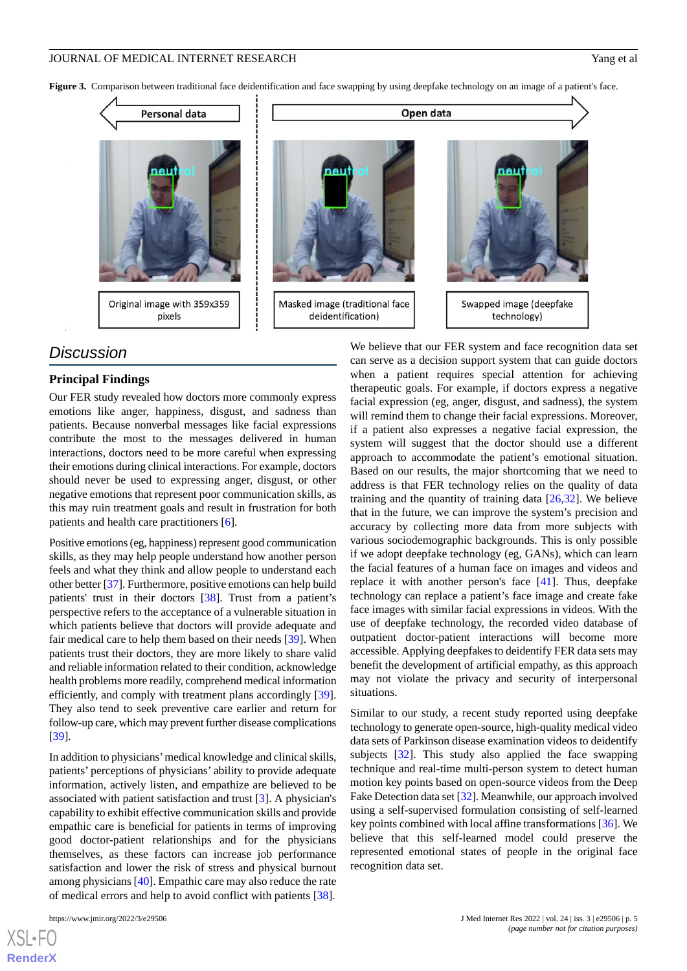<span id="page-4-0"></span>Figure 3. Comparison between traditional face deidentification and face swapping by using deepfake technology on an image of a patient's face.



# pixels

# Masked image (traditional face deidentification)

Open data



# *Discussion*

# **Principal Findings**

Our FER study revealed how doctors more commonly express emotions like anger, happiness, disgust, and sadness than patients. Because nonverbal messages like facial expressions contribute the most to the messages delivered in human interactions, doctors need to be more careful when expressing their emotions during clinical interactions. For example, doctors should never be used to expressing anger, disgust, or other negative emotions that represent poor communication skills, as this may ruin treatment goals and result in frustration for both patients and health care practitioners [[6\]](#page-5-3).

Positive emotions (eg, happiness) represent good communication skills, as they may help people understand how another person feels and what they think and allow people to understand each other better [[37\]](#page-6-22). Furthermore, positive emotions can help build patients' trust in their doctors [\[38](#page-7-0)]. Trust from a patient's perspective refers to the acceptance of a vulnerable situation in which patients believe that doctors will provide adequate and fair medical care to help them based on their needs [[39\]](#page-7-1). When patients trust their doctors, they are more likely to share valid and reliable information related to their condition, acknowledge health problems more readily, comprehend medical information efficiently, and comply with treatment plans accordingly [[39\]](#page-7-1). They also tend to seek preventive care earlier and return for follow-up care, which may prevent further disease complications [[39\]](#page-7-1).

In addition to physicians'medical knowledge and clinical skills, patients' perceptions of physicians' ability to provide adequate information, actively listen, and empathize are believed to be associated with patient satisfaction and trust [[3\]](#page-5-11). A physician's capability to exhibit effective communication skills and provide empathic care is beneficial for patients in terms of improving good doctor-patient relationships and for the physicians themselves, as these factors can increase job performance satisfaction and lower the risk of stress and physical burnout among physicians [\[40](#page-7-2)]. Empathic care may also reduce the rate of medical errors and help to avoid conflict with patients [[38\]](#page-7-0).

[XSL](http://www.w3.org/Style/XSL)•FO **[RenderX](http://www.renderx.com/)**

We believe that our FER system and face recognition data set can serve as a decision support system that can guide doctors when a patient requires special attention for achieving therapeutic goals. For example, if doctors express a negative facial expression (eg, anger, disgust, and sadness), the system will remind them to change their facial expressions. Moreover, if a patient also expresses a negative facial expression, the system will suggest that the doctor should use a different approach to accommodate the patient's emotional situation. Based on our results, the major shortcoming that we need to address is that FER technology relies on the quality of data training and the quantity of training data [\[26](#page-6-11),[32\]](#page-6-17). We believe that in the future, we can improve the system's precision and accuracy by collecting more data from more subjects with various sociodemographic backgrounds. This is only possible if we adopt deepfake technology (eg, GANs), which can learn the facial features of a human face on images and videos and replace it with another person's face [\[41](#page-7-3)]. Thus, deepfake technology can replace a patient's face image and create fake face images with similar facial expressions in videos. With the use of deepfake technology, the recorded video database of outpatient doctor-patient interactions will become more accessible. Applying deepfakes to deidentify FER data sets may benefit the development of artificial empathy, as this approach may not violate the privacy and security of interpersonal situations.

Similar to our study, a recent study reported using deepfake technology to generate open-source, high-quality medical video data sets of Parkinson disease examination videos to deidentify subjects [[32\]](#page-6-17). This study also applied the face swapping technique and real-time multi-person system to detect human motion key points based on open-source videos from the Deep Fake Detection data set [\[32](#page-6-17)]. Meanwhile, our approach involved using a self-supervised formulation consisting of self-learned key points combined with local affine transformations [[36\]](#page-6-21). We believe that this self-learned model could preserve the represented emotional states of people in the original face recognition data set.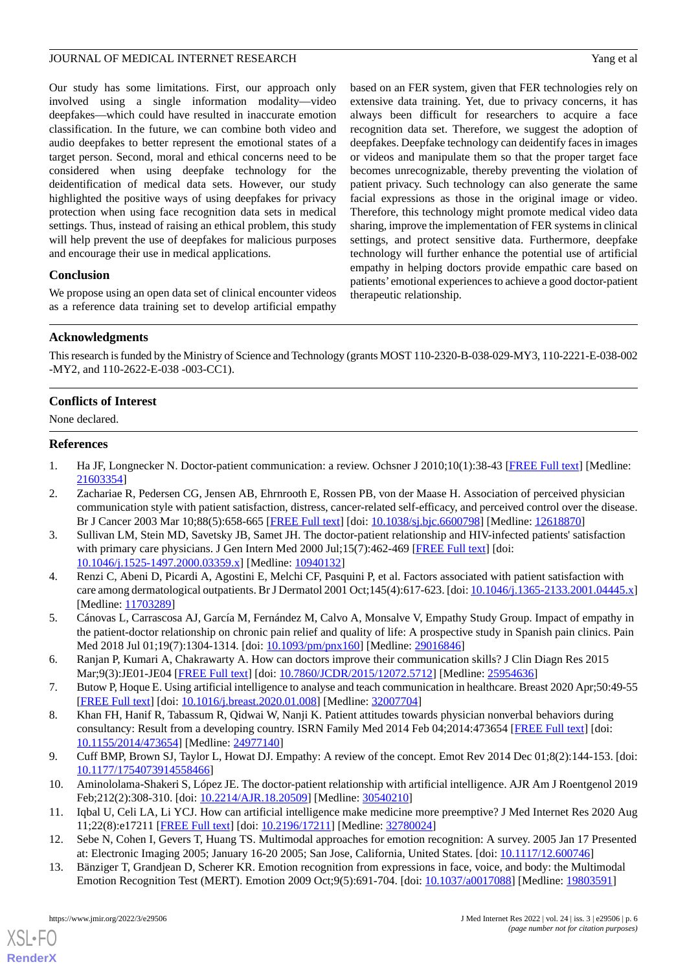Our study has some limitations. First, our approach only involved using a single information modality—video deepfakes—which could have resulted in inaccurate emotion classification. In the future, we can combine both video and audio deepfakes to better represent the emotional states of a target person. Second, moral and ethical concerns need to be considered when using deepfake technology for the deidentification of medical data sets. However, our study highlighted the positive ways of using deepfakes for privacy protection when using face recognition data sets in medical settings. Thus, instead of raising an ethical problem, this study will help prevent the use of deepfakes for malicious purposes and encourage their use in medical applications.

# **Conclusion**

We propose using an open data set of clinical encounter videos as a reference data training set to develop artificial empathy

based on an FER system, given that FER technologies rely on extensive data training. Yet, due to privacy concerns, it has always been difficult for researchers to acquire a face recognition data set. Therefore, we suggest the adoption of deepfakes. Deepfake technology can deidentify faces in images or videos and manipulate them so that the proper target face becomes unrecognizable, thereby preventing the violation of patient privacy. Such technology can also generate the same facial expressions as those in the original image or video. Therefore, this technology might promote medical video data sharing, improve the implementation of FER systems in clinical settings, and protect sensitive data. Furthermore, deepfake technology will further enhance the potential use of artificial empathy in helping doctors provide empathic care based on patients' emotional experiences to achieve a good doctor-patient therapeutic relationship.

# **Acknowledgments**

This research is funded by the Ministry of Science and Technology (grants MOST 110-2320-B-038-029-MY3, 110-2221-E-038-002 -MY2, and 110-2622-E-038 -003-CC1).

# **Conflicts of Interest**

<span id="page-5-0"></span>None declared.

# <span id="page-5-1"></span>**References**

- 1. Ha JF, Longnecker N. Doctor-patient communication: a review. Ochsner J 2010;10(1):38-43 [\[FREE Full text\]](http://europepmc.org/abstract/MED/21603354) [Medline: [21603354](http://www.ncbi.nlm.nih.gov/entrez/query.fcgi?cmd=Retrieve&db=PubMed&list_uids=21603354&dopt=Abstract)]
- <span id="page-5-11"></span>2. Zachariae R, Pedersen CG, Jensen AB, Ehrnrooth E, Rossen PB, von der Maase H. Association of perceived physician communication style with patient satisfaction, distress, cancer-related self-efficacy, and perceived control over the disease. Br J Cancer 2003 Mar 10;88(5):658-665 [\[FREE Full text\]](http://europepmc.org/abstract/MED/12618870) [doi: [10.1038/sj.bjc.6600798](http://dx.doi.org/10.1038/sj.bjc.6600798)] [Medline: [12618870\]](http://www.ncbi.nlm.nih.gov/entrez/query.fcgi?cmd=Retrieve&db=PubMed&list_uids=12618870&dopt=Abstract)
- 3. Sullivan LM, Stein MD, Savetsky JB, Samet JH. The doctor-patient relationship and HIV-infected patients' satisfaction with primary care physicians. J Gen Intern Med 2000 Jul;15(7):462-469 [[FREE Full text](https://tinyurl.com/2p8dw9fk)] [doi: [10.1046/j.1525-1497.2000.03359.x\]](http://dx.doi.org/10.1046/j.1525-1497.2000.03359.x) [Medline: [10940132\]](http://www.ncbi.nlm.nih.gov/entrez/query.fcgi?cmd=Retrieve&db=PubMed&list_uids=10940132&dopt=Abstract)
- <span id="page-5-3"></span><span id="page-5-2"></span>4. Renzi C, Abeni D, Picardi A, Agostini E, Melchi CF, Pasquini P, et al. Factors associated with patient satisfaction with care among dermatological outpatients. Br J Dermatol 2001 Oct;145(4):617-623. [doi: [10.1046/j.1365-2133.2001.04445.x](http://dx.doi.org/10.1046/j.1365-2133.2001.04445.x)] [Medline: [11703289](http://www.ncbi.nlm.nih.gov/entrez/query.fcgi?cmd=Retrieve&db=PubMed&list_uids=11703289&dopt=Abstract)]
- <span id="page-5-4"></span>5. Cánovas L, Carrascosa AJ, García M, Fernández M, Calvo A, Monsalve V, Empathy Study Group. Impact of empathy in the patient-doctor relationship on chronic pain relief and quality of life: A prospective study in Spanish pain clinics. Pain Med 2018 Jul 01;19(7):1304-1314. [doi: [10.1093/pm/pnx160\]](http://dx.doi.org/10.1093/pm/pnx160) [Medline: [29016846\]](http://www.ncbi.nlm.nih.gov/entrez/query.fcgi?cmd=Retrieve&db=PubMed&list_uids=29016846&dopt=Abstract)
- <span id="page-5-5"></span>6. Ranjan P, Kumari A, Chakrawarty A. How can doctors improve their communication skills? J Clin Diagn Res 2015 Mar;9(3):JE01-JE04 [[FREE Full text\]](http://europepmc.org/abstract/MED/25954636) [doi: [10.7860/JCDR/2015/12072.5712\]](http://dx.doi.org/10.7860/JCDR/2015/12072.5712) [Medline: [25954636\]](http://www.ncbi.nlm.nih.gov/entrez/query.fcgi?cmd=Retrieve&db=PubMed&list_uids=25954636&dopt=Abstract)
- <span id="page-5-6"></span>7. Butow P, Hoque E. Using artificial intelligence to analyse and teach communication in healthcare. Breast 2020 Apr;50:49-55 [[FREE Full text](https://linkinghub.elsevier.com/retrieve/pii/S0960-9776(20)30009-6)] [doi: [10.1016/j.breast.2020.01.008](http://dx.doi.org/10.1016/j.breast.2020.01.008)] [Medline: [32007704](http://www.ncbi.nlm.nih.gov/entrez/query.fcgi?cmd=Retrieve&db=PubMed&list_uids=32007704&dopt=Abstract)]
- <span id="page-5-8"></span><span id="page-5-7"></span>8. Khan FH, Hanif R, Tabassum R, Qidwai W, Nanji K. Patient attitudes towards physician nonverbal behaviors during consultancy: Result from a developing country. ISRN Family Med 2014 Feb 04;2014:473654 [[FREE Full text](http://europepmc.org/abstract/MED/24977140)] [doi: [10.1155/2014/473654\]](http://dx.doi.org/10.1155/2014/473654) [Medline: [24977140](http://www.ncbi.nlm.nih.gov/entrez/query.fcgi?cmd=Retrieve&db=PubMed&list_uids=24977140&dopt=Abstract)]
- <span id="page-5-9"></span>9. Cuff BMP, Brown SJ, Taylor L, Howat DJ. Empathy: A review of the concept. Emot Rev 2014 Dec 01;8(2):144-153. [doi: [10.1177/1754073914558466\]](http://dx.doi.org/10.1177/1754073914558466)
- <span id="page-5-10"></span>10. Aminololama-Shakeri S, López JE. The doctor-patient relationship with artificial intelligence. AJR Am J Roentgenol 2019 Feb;212(2):308-310. [doi: [10.2214/AJR.18.20509](http://dx.doi.org/10.2214/AJR.18.20509)] [Medline: [30540210](http://www.ncbi.nlm.nih.gov/entrez/query.fcgi?cmd=Retrieve&db=PubMed&list_uids=30540210&dopt=Abstract)]
- 11. Iqbal U, Celi LA, Li YCJ. How can artificial intelligence make medicine more preemptive? J Med Internet Res 2020 Aug 11;22(8):e17211 [\[FREE Full text](https://www.jmir.org/2020/8/e17211/)] [doi: [10.2196/17211\]](http://dx.doi.org/10.2196/17211) [Medline: [32780024\]](http://www.ncbi.nlm.nih.gov/entrez/query.fcgi?cmd=Retrieve&db=PubMed&list_uids=32780024&dopt=Abstract)
- 12. Sebe N, Cohen I, Gevers T, Huang TS. Multimodal approaches for emotion recognition: A survey. 2005 Jan 17 Presented at: Electronic Imaging 2005; January 16-20 2005; San Jose, California, United States. [doi: [10.1117/12.600746\]](http://dx.doi.org/10.1117/12.600746)
- 13. Bänziger T, Grandjean D, Scherer KR. Emotion recognition from expressions in face, voice, and body: the Multimodal Emotion Recognition Test (MERT). Emotion 2009 Oct;9(5):691-704. [doi: [10.1037/a0017088](http://dx.doi.org/10.1037/a0017088)] [Medline: [19803591](http://www.ncbi.nlm.nih.gov/entrez/query.fcgi?cmd=Retrieve&db=PubMed&list_uids=19803591&dopt=Abstract)]

[XSL](http://www.w3.org/Style/XSL)•FO **[RenderX](http://www.renderx.com/)**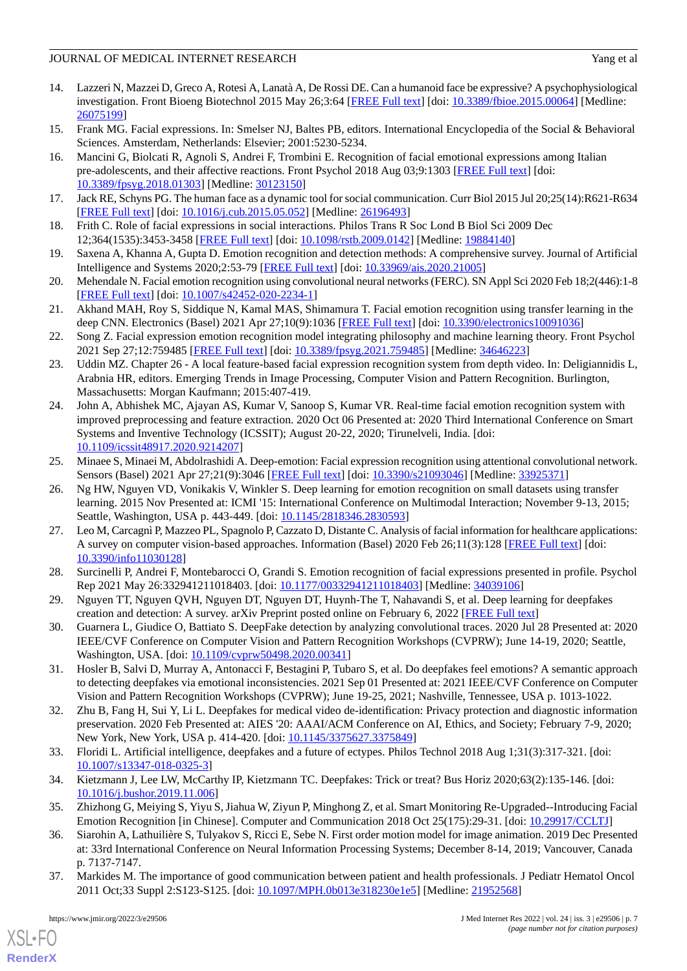- <span id="page-6-0"></span>14. Lazzeri N, Mazzei D, Greco A, Rotesi A, Lanatà A, De Rossi DE. Can a humanoid face be expressive? A psychophysiological investigation. Front Bioeng Biotechnol 2015 May 26;3:64 [\[FREE Full text\]](https://doi.org/10.3389/fbioe.2015.00064) [doi: [10.3389/fbioe.2015.00064\]](http://dx.doi.org/10.3389/fbioe.2015.00064) [Medline: [26075199](http://www.ncbi.nlm.nih.gov/entrez/query.fcgi?cmd=Retrieve&db=PubMed&list_uids=26075199&dopt=Abstract)]
- <span id="page-6-2"></span><span id="page-6-1"></span>15. Frank MG. Facial expressions. In: Smelser NJ, Baltes PB, editors. International Encyclopedia of the Social & Behavioral Sciences. Amsterdam, Netherlands: Elsevier; 2001:5230-5234.
- 16. Mancini G, Biolcati R, Agnoli S, Andrei F, Trombini E. Recognition of facial emotional expressions among Italian pre-adolescents, and their affective reactions. Front Psychol 2018 Aug 03;9:1303 [\[FREE Full text\]](https://doi.org/10.3389/fpsyg.2018.01303) [doi: [10.3389/fpsyg.2018.01303](http://dx.doi.org/10.3389/fpsyg.2018.01303)] [Medline: [30123150\]](http://www.ncbi.nlm.nih.gov/entrez/query.fcgi?cmd=Retrieve&db=PubMed&list_uids=30123150&dopt=Abstract)
- <span id="page-6-4"></span><span id="page-6-3"></span>17. Jack RE, Schyns PG. The human face as a dynamic tool for social communication. Curr Biol 2015 Jul 20;25(14):R621-R634 [[FREE Full text](https://linkinghub.elsevier.com/retrieve/pii/S0960-9822(15)00655-7)] [doi: [10.1016/j.cub.2015.05.052\]](http://dx.doi.org/10.1016/j.cub.2015.05.052) [Medline: [26196493](http://www.ncbi.nlm.nih.gov/entrez/query.fcgi?cmd=Retrieve&db=PubMed&list_uids=26196493&dopt=Abstract)]
- <span id="page-6-5"></span>18. Frith C. Role of facial expressions in social interactions. Philos Trans R Soc Lond B Biol Sci 2009 Dec 12;364(1535):3453-3458 [[FREE Full text](http://europepmc.org/abstract/MED/19884140)] [doi: [10.1098/rstb.2009.0142](http://dx.doi.org/10.1098/rstb.2009.0142)] [Medline: [19884140](http://www.ncbi.nlm.nih.gov/entrez/query.fcgi?cmd=Retrieve&db=PubMed&list_uids=19884140&dopt=Abstract)]
- <span id="page-6-6"></span>19. Saxena A, Khanna A, Gupta D. Emotion recognition and detection methods: A comprehensive survey. Journal of Artificial Intelligence and Systems 2020;2:53-79 [[FREE Full text](https://iecscience.org/uploads/jpapers/202003/dnQToaqdF8IRjhE62pfIovCkDJ2jXAcZdK6KHRzM.pdf)] [doi: [10.33969/ais.2020.21005\]](http://dx.doi.org/10.33969/ais.2020.21005)
- <span id="page-6-9"></span>20. Mehendale N. Facial emotion recognition using convolutional neural networks (FERC). SN Appl Sci 2020 Feb 18;2(446):1-8 [[FREE Full text](https://link.springer.com/article/10.1007/s42452-020-2234-1)] [doi: [10.1007/s42452-020-2234-1\]](http://dx.doi.org/10.1007/s42452-020-2234-1)
- <span id="page-6-8"></span>21. Akhand MAH, Roy S, Siddique N, Kamal MAS, Shimamura T. Facial emotion recognition using transfer learning in the deep CNN. Electronics (Basel) 2021 Apr 27;10(9):1036 [\[FREE Full text\]](https://mdpi-res.com/d_attachment/electronics/electronics-10-01036/article_deploy/electronics-10-01036-v2.pdf) [doi: [10.3390/electronics10091036\]](http://dx.doi.org/10.3390/electronics10091036)
- 22. Song Z. Facial expression emotion recognition model integrating philosophy and machine learning theory. Front Psychol 2021 Sep 27;12:759485 [[FREE Full text](https://doi.org/10.3389/fpsyg.2021.759485)] [doi: [10.3389/fpsyg.2021.759485](http://dx.doi.org/10.3389/fpsyg.2021.759485)] [Medline: [34646223\]](http://www.ncbi.nlm.nih.gov/entrez/query.fcgi?cmd=Retrieve&db=PubMed&list_uids=34646223&dopt=Abstract)
- <span id="page-6-7"></span>23. Uddin MZ. Chapter 26 - A local feature-based facial expression recognition system from depth video. In: Deligiannidis L, Arabnia HR, editors. Emerging Trends in Image Processing, Computer Vision and Pattern Recognition. Burlington, Massachusetts: Morgan Kaufmann; 2015:407-419.
- <span id="page-6-10"></span>24. John A, Abhishek MC, Ajayan AS, Kumar V, Sanoop S, Kumar VR. Real-time facial emotion recognition system with improved preprocessing and feature extraction. 2020 Oct 06 Presented at: 2020 Third International Conference on Smart Systems and Inventive Technology (ICSSIT); August 20-22, 2020; Tirunelveli, India. [doi: [10.1109/icssit48917.2020.9214207](http://dx.doi.org/10.1109/icssit48917.2020.9214207)]
- <span id="page-6-11"></span>25. Minaee S, Minaei M, Abdolrashidi A. Deep-emotion: Facial expression recognition using attentional convolutional network. Sensors (Basel) 2021 Apr 27;21(9):3046 [\[FREE Full text\]](https://www.mdpi.com/resolver?pii=s21093046) [doi: [10.3390/s21093046\]](http://dx.doi.org/10.3390/s21093046) [Medline: [33925371\]](http://www.ncbi.nlm.nih.gov/entrez/query.fcgi?cmd=Retrieve&db=PubMed&list_uids=33925371&dopt=Abstract)
- <span id="page-6-12"></span>26. Ng HW, Nguyen VD, Vonikakis V, Winkler S. Deep learning for emotion recognition on small datasets using transfer learning. 2015 Nov Presented at: ICMI '15: International Conference on Multimodal Interaction; November 9-13, 2015; Seattle, Washington, USA p. 443-449. [doi: [10.1145/2818346.2830593](http://dx.doi.org/10.1145/2818346.2830593)]
- <span id="page-6-14"></span><span id="page-6-13"></span>27. Leo M, CarcagnìP, Mazzeo PL, Spagnolo P, Cazzato D, Distante C. Analysis of facial information for healthcare applications: A survey on computer vision-based approaches. Information (Basel) 2020 Feb 26;11(3):128 [[FREE Full text](https://mdpi-res.com/d_attachment/information/information-11-00128/article_deploy/information-11-00128-v2.pdf)] [doi: [10.3390/info11030128\]](http://dx.doi.org/10.3390/info11030128)
- <span id="page-6-16"></span>28. Surcinelli P, Andrei F, Montebarocci O, Grandi S. Emotion recognition of facial expressions presented in profile. Psychol Rep 2021 May 26:332941211018403. [doi: [10.1177/00332941211018403\]](http://dx.doi.org/10.1177/00332941211018403) [Medline: [34039106\]](http://www.ncbi.nlm.nih.gov/entrez/query.fcgi?cmd=Retrieve&db=PubMed&list_uids=34039106&dopt=Abstract)
- <span id="page-6-15"></span>29. Nguyen TT, Nguyen QVH, Nguyen DT, Nguyen DT, Huynh-The T, Nahavandi S, et al. Deep learning for deepfakes creation and detection: A survey. arXiv Preprint posted online on February 6, 2022 [\[FREE Full text\]](https://arxiv.org/pdf/1909.11573.pdf)
- <span id="page-6-17"></span>30. Guarnera L, Giudice O, Battiato S. DeepFake detection by analyzing convolutional traces. 2020 Jul 28 Presented at: 2020 IEEE/CVF Conference on Computer Vision and Pattern Recognition Workshops (CVPRW); June 14-19, 2020; Seattle, Washington, USA. [doi: [10.1109/cvprw50498.2020.00341\]](http://dx.doi.org/10.1109/cvprw50498.2020.00341)
- <span id="page-6-18"></span>31. Hosler B, Salvi D, Murray A, Antonacci F, Bestagini P, Tubaro S, et al. Do deepfakes feel emotions? A semantic approach to detecting deepfakes via emotional inconsistencies. 2021 Sep 01 Presented at: 2021 IEEE/CVF Conference on Computer Vision and Pattern Recognition Workshops (CVPRW); June 19-25, 2021; Nashville, Tennessee, USA p. 1013-1022.
- <span id="page-6-20"></span><span id="page-6-19"></span>32. Zhu B, Fang H, Sui Y, Li L. Deepfakes for medical video de-identification: Privacy protection and diagnostic information preservation. 2020 Feb Presented at: AIES '20: AAAI/ACM Conference on AI, Ethics, and Society; February 7-9, 2020; New York, New York, USA p. 414-420. [doi: [10.1145/3375627.3375849\]](http://dx.doi.org/10.1145/3375627.3375849)
- <span id="page-6-21"></span>33. Floridi L. Artificial intelligence, deepfakes and a future of ectypes. Philos Technol 2018 Aug 1;31(3):317-321. [doi: [10.1007/s13347-018-0325-3\]](http://dx.doi.org/10.1007/s13347-018-0325-3)
- <span id="page-6-22"></span>34. Kietzmann J, Lee LW, McCarthy IP, Kietzmann TC. Deepfakes: Trick or treat? Bus Horiz 2020;63(2):135-146. [doi: [10.1016/j.bushor.2019.11.006](http://dx.doi.org/10.1016/j.bushor.2019.11.006)]
- 35. Zhizhong G, Meiying S, Yiyu S, Jiahua W, Ziyun P, Minghong Z, et al. Smart Monitoring Re-Upgraded--Introducing Facial Emotion Recognition [in Chinese]. Computer and Communication 2018 Oct 25(175):29-31. [doi: [10.29917/CCLTJ\]](http://dx.doi.org/10.29917/CCLTJ)
- 36. Siarohin A, Lathuilière S, Tulyakov S, Ricci E, Sebe N. First order motion model for image animation. 2019 Dec Presented at: 33rd International Conference on Neural Information Processing Systems; December 8-14, 2019; Vancouver, Canada p. 7137-7147.
- 37. Markides M. The importance of good communication between patient and health professionals. J Pediatr Hematol Oncol 2011 Oct;33 Suppl 2:S123-S125. [doi: [10.1097/MPH.0b013e318230e1e5\]](http://dx.doi.org/10.1097/MPH.0b013e318230e1e5) [Medline: [21952568\]](http://www.ncbi.nlm.nih.gov/entrez/query.fcgi?cmd=Retrieve&db=PubMed&list_uids=21952568&dopt=Abstract)

[XSL](http://www.w3.org/Style/XSL)•FO **[RenderX](http://www.renderx.com/)**